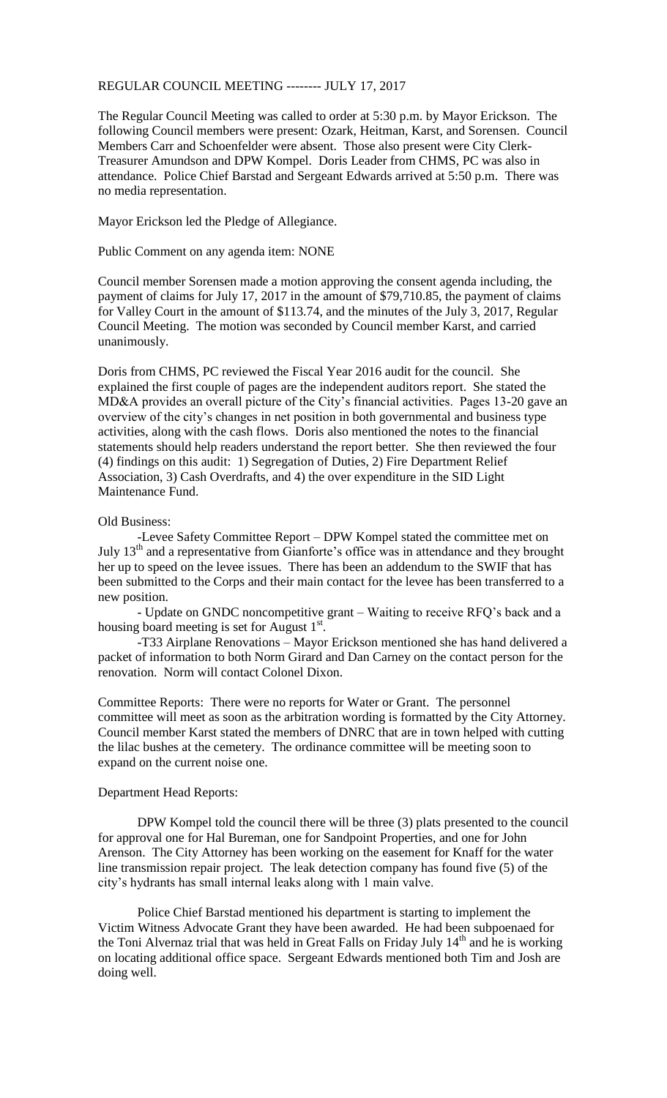## REGULAR COUNCIL MEETING -------- JULY 17, 2017

The Regular Council Meeting was called to order at 5:30 p.m. by Mayor Erickson. The following Council members were present: Ozark, Heitman, Karst, and Sorensen. Council Members Carr and Schoenfelder were absent. Those also present were City Clerk-Treasurer Amundson and DPW Kompel. Doris Leader from CHMS, PC was also in attendance. Police Chief Barstad and Sergeant Edwards arrived at 5:50 p.m. There was no media representation.

Mayor Erickson led the Pledge of Allegiance.

Public Comment on any agenda item: NONE

Council member Sorensen made a motion approving the consent agenda including, the payment of claims for July 17, 2017 in the amount of \$79,710.85, the payment of claims for Valley Court in the amount of \$113.74, and the minutes of the July 3, 2017, Regular Council Meeting. The motion was seconded by Council member Karst, and carried unanimously.

Doris from CHMS, PC reviewed the Fiscal Year 2016 audit for the council. She explained the first couple of pages are the independent auditors report. She stated the MD&A provides an overall picture of the City's financial activities. Pages 13-20 gave an overview of the city's changes in net position in both governmental and business type activities, along with the cash flows. Doris also mentioned the notes to the financial statements should help readers understand the report better. She then reviewed the four (4) findings on this audit: 1) Segregation of Duties, 2) Fire Department Relief Association, 3) Cash Overdrafts, and 4) the over expenditure in the SID Light Maintenance Fund.

## Old Business:

-Levee Safety Committee Report – DPW Kompel stated the committee met on July 13<sup>th</sup> and a representative from Gianforte's office was in attendance and they brought her up to speed on the levee issues. There has been an addendum to the SWIF that has been submitted to the Corps and their main contact for the levee has been transferred to a new position.

- Update on GNDC noncompetitive grant – Waiting to receive RFQ's back and a housing board meeting is set for August  $1<sup>st</sup>$ .

-T33 Airplane Renovations – Mayor Erickson mentioned she has hand delivered a packet of information to both Norm Girard and Dan Carney on the contact person for the renovation. Norm will contact Colonel Dixon.

Committee Reports: There were no reports for Water or Grant. The personnel committee will meet as soon as the arbitration wording is formatted by the City Attorney. Council member Karst stated the members of DNRC that are in town helped with cutting the lilac bushes at the cemetery. The ordinance committee will be meeting soon to expand on the current noise one.

## Department Head Reports:

DPW Kompel told the council there will be three (3) plats presented to the council for approval one for Hal Bureman, one for Sandpoint Properties, and one for John Arenson. The City Attorney has been working on the easement for Knaff for the water line transmission repair project. The leak detection company has found five (5) of the city's hydrants has small internal leaks along with 1 main valve.

Police Chief Barstad mentioned his department is starting to implement the Victim Witness Advocate Grant they have been awarded. He had been subpoenaed for the Toni Alvernaz trial that was held in Great Falls on Friday July  $14<sup>th</sup>$  and he is working on locating additional office space. Sergeant Edwards mentioned both Tim and Josh are doing well.